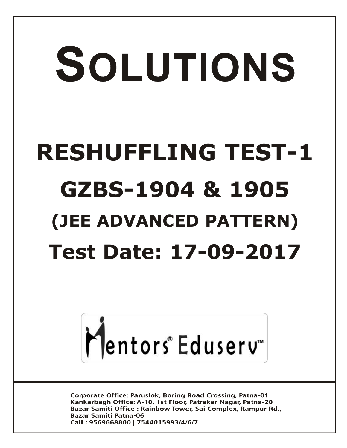# SOLUTIONS **RESHUFFLING TEST-1 GZBS-1904 & 1905 (JEE ADVANCED PATTERN) Test Date: 17-09-2017**



**Corporate Office: Paruslok, Boring Road Crossing, Patna-01** Kankarbagh Office: A-10, 1st Floor, Patrakar Nagar, Patna-20 Bazar Samiti Office: Rainbow Tower, Sai Complex, Rampur Rd., **Bazar Samiti Patna-06** Call: 9569668800 | 7544015993/4/6/7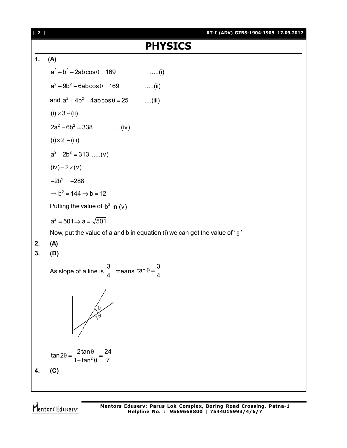

Mentors Eduserv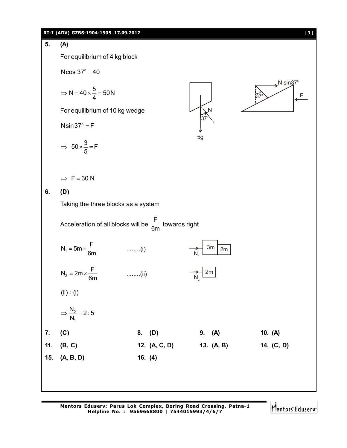#### **RT-I (ADV) GZBS-1904-1905\_17.09.2017** [ **3** ]

### **5. (A)**

For equilibrium of 4 kg block

Ncos  $37^{\circ} = 40$ 

$$
\Rightarrow N = 40 \times \frac{5}{4} = 50N
$$

For equilibrium of 10 kg wedge

 $N\sin 37^\circ = F$ 

$$
\Rightarrow 50 \times \frac{3}{5} = F
$$

 $\Rightarrow$  F = 30 N

#### **6. (D)**

Taking the three blocks as a system

| Acceleration of all blocks will be $\frac{F}{6m}$ towards right |               |        |
|-----------------------------------------------------------------|---------------|--------|
| $N_1 = 5m \times \frac{F}{6m}$                                  | ........(i)   |        |
| $N_2 = 2m \times \frac{F}{6m}$                                  | ........(ii)  |        |
| (ii) ÷ (i)                                                      |               |        |
| (ii) ÷ (i)                                                      |               |        |
| $\frac{N_2}{N_1} = 2:5$                                         |               |        |
| 7. (C)                                                          | 8. (D)        | 9. (A) |
| 11. (B, C)                                                      | 12. (A, C, D) |        |
| 13. (A, B)                                                      | 14. (C, D)    |        |
| 15. (A, B, D)                                                   | 16. (4)       |        |

 $37^\circ$ 

N

5g

Mentors Eduserv

 $\blacktriangleright$ N sin $37^\circ$ 

 $37^\circ$  F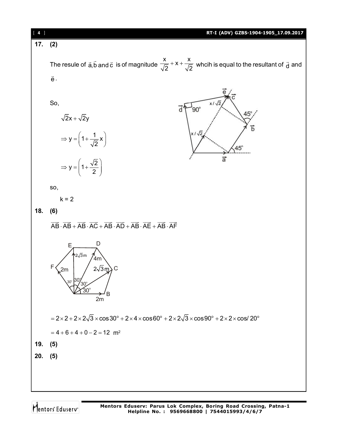| $[4]$ | RT-I (ADV) GZBS-1904-1905_17.09.2017                                                                                                                                                                                          |
|-------|-------------------------------------------------------------------------------------------------------------------------------------------------------------------------------------------------------------------------------|
| 17.   | (2)                                                                                                                                                                                                                           |
|       |                                                                                                                                                                                                                               |
|       | The resule of $\vec{a}, \vec{b}$ and $\vec{c}$ is of magnitude $\frac{x}{\sqrt{2}} + x + \frac{x}{\sqrt{2}}$ whcih is equal to the resultant of $\vec{d}$ and                                                                 |
|       | $\vec{\textbf{e}}$ .                                                                                                                                                                                                          |
|       |                                                                                                                                                                                                                               |
|       | So,<br>$x/\sqrt{2}$                                                                                                                                                                                                           |
|       | d<br>$90^\circ$<br>$45^\circ$<br>$\sqrt{2}x + \sqrt{2}y$                                                                                                                                                                      |
|       | Ђ                                                                                                                                                                                                                             |
|       | $x/\sqrt{2}$<br>$\Rightarrow$ y = $\left(1+\frac{1}{\sqrt{2}}x\right)$<br>$45^\circ$                                                                                                                                          |
|       | $\vec{a}$                                                                                                                                                                                                                     |
|       | $\Rightarrow y = \left(1 + \frac{\sqrt{2}}{2}\right)$                                                                                                                                                                         |
|       | SO,                                                                                                                                                                                                                           |
|       | $k = 2$                                                                                                                                                                                                                       |
| 18.   | (6)                                                                                                                                                                                                                           |
|       |                                                                                                                                                                                                                               |
|       | $\overrightarrow{AB}\cdot\overrightarrow{AB}+\overrightarrow{AB}\cdot\overrightarrow{AC}+\overrightarrow{AB}\cdot\overrightarrow{AD}+\overrightarrow{AB}\cdot\overrightarrow{AE}+\overrightarrow{AB}\cdot\overrightarrow{AF}$ |
|       | D<br>Ε<br><b>∱</b> 2√3m<br>4 <sub>m</sub><br>$2\sqrt{3}m$ ) C<br>F<br>2m<br>30<br>30 $^{\circ}$<br>2m                                                                                                                         |
|       | $= 2 \times 2 + 2 \times 2\sqrt{3} \times \cos 30^{\circ} + 2 \times 4 \times \cos 60^{\circ} + 2 \times 2\sqrt{3} \times \cos 90^{\circ} + 2 \times 2 \times \cos 20^{\circ}$                                                |
|       | $= 4 + 6 + 4 + 0 - 2 = 12$ m <sup>2</sup>                                                                                                                                                                                     |
| 19.   | (5)                                                                                                                                                                                                                           |
| 20.   | (5)                                                                                                                                                                                                                           |
|       |                                                                                                                                                                                                                               |
|       |                                                                                                                                                                                                                               |
|       |                                                                                                                                                                                                                               |

Mentors<sup>®</sup> Eduserv<sup>®</sup>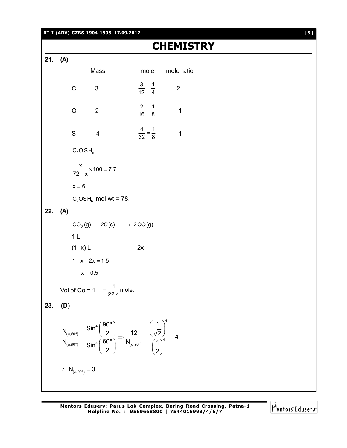#### **RT-I (ADV) GZBS-1904-1905\_17.09.2017** [ **5** ]

## **CHEMISTRY**

**21. (A)**

| 21. (A) |     |                                                         |                                                                                                                                                                                                                                                                                                                |                              |                 |  |
|---------|-----|---------------------------------------------------------|----------------------------------------------------------------------------------------------------------------------------------------------------------------------------------------------------------------------------------------------------------------------------------------------------------------|------------------------------|-----------------|--|
|         |     |                                                         | Mass                                                                                                                                                                                                                                                                                                           |                              | mole mole ratio |  |
|         |     | $\mathsf C$<br>$\overline{\phantom{a}}$ 3               |                                                                                                                                                                                                                                                                                                                | $\frac{3}{12} = \frac{1}{4}$ | $\overline{2}$  |  |
|         |     | O                                                       | $\overline{\phantom{0}}$                                                                                                                                                                                                                                                                                       | $\frac{2}{16} = \frac{1}{8}$ | $\mathbf 1$     |  |
|         |     | S.                                                      | $\overline{\mathbf{4}}$                                                                                                                                                                                                                                                                                        | $\frac{4}{32} = \frac{1}{8}$ | $\mathbf 1$     |  |
|         |     | $C_2$ O.SH <sub>x</sub>                                 |                                                                                                                                                                                                                                                                                                                |                              |                 |  |
|         |     |                                                         | $\frac{x}{72+x}$ × 100 = 7.7                                                                                                                                                                                                                                                                                   |                              |                 |  |
|         |     | $x = 6$                                                 |                                                                                                                                                                                                                                                                                                                |                              |                 |  |
|         |     |                                                         | $C_2$ OSH <sub>6</sub> mol wt = 78.                                                                                                                                                                                                                                                                            |                              |                 |  |
| 22. (A) |     |                                                         |                                                                                                                                                                                                                                                                                                                |                              |                 |  |
|         |     |                                                         | $CO2(g) + 2C(s) \longrightarrow 2CO(g)$                                                                                                                                                                                                                                                                        |                              |                 |  |
|         |     | 1 <sub>L</sub>                                          |                                                                                                                                                                                                                                                                                                                |                              |                 |  |
|         |     | $(1-x)$ L                                               |                                                                                                                                                                                                                                                                                                                | 2x                           |                 |  |
|         |     | $1 - x + 2x = 1.5$                                      |                                                                                                                                                                                                                                                                                                                |                              |                 |  |
|         |     | $x = 0.5$                                               |                                                                                                                                                                                                                                                                                                                |                              |                 |  |
|         |     |                                                         | Vol of Co = 1 L = $\frac{1}{22.4}$ mole.                                                                                                                                                                                                                                                                       |                              |                 |  |
| 23.     | (D) |                                                         |                                                                                                                                                                                                                                                                                                                |                              |                 |  |
|         |     |                                                         | $\frac{\mathsf{N}_{(\alpha,60^\circ)}}{\mathsf{N}_{(\alpha,90^\circ)}} = \frac{\mathsf{Sin}^4\left(\frac{90^\circ}{2}\right)}{\mathsf{Sin}^4\left(\frac{60^\circ}{2}\right)} \Rightarrow \frac{12}{\mathsf{N}_{(\alpha,90^\circ)}} = \frac{\left(\frac{1}{\sqrt{2}}\right)^4}{\left(\frac{1}{2}\right)^4} = 4$ |                              |                 |  |
|         |     | $\therefore$ N <sub>(<math>\alpha</math>,90°)</sub> = 3 |                                                                                                                                                                                                                                                                                                                |                              |                 |  |
|         |     |                                                         |                                                                                                                                                                                                                                                                                                                |                              |                 |  |

Mentors<sup>e</sup> Eduserv<sup>-</sup>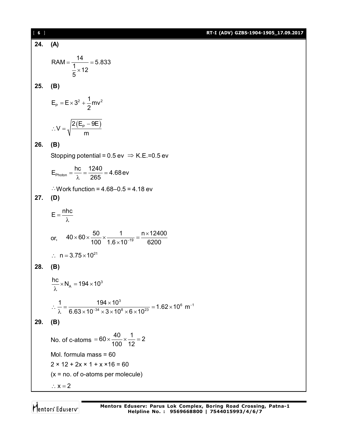| [6] | RT-I (ADV) GZBS-1904-1905_17.09.2017                                                                                                                         |
|-----|--------------------------------------------------------------------------------------------------------------------------------------------------------------|
| 24. | (A)                                                                                                                                                          |
|     | RAM = $\frac{14}{\frac{1}{5} \times 12}$ = 5.833                                                                                                             |
| 25. | (B)                                                                                                                                                          |
|     | $E_p = E \times 3^2 + \frac{1}{2}mv^2$                                                                                                                       |
|     | $\therefore V = \sqrt{\frac{2(E_{\rm p} - 9E)}{m}}$                                                                                                          |
| 26. | (B)                                                                                                                                                          |
|     | Stopping potential = $0.5$ ev $\Rightarrow$ K.E.=0.5 ev                                                                                                      |
|     | $E_{\text{photon}} = \frac{hc}{\lambda} = \frac{1240}{265} = 4.68$ ev                                                                                        |
|     | $\therefore$ Work function = 4.68-0.5 = 4.18 ev                                                                                                              |
| 27. | (D)                                                                                                                                                          |
|     | $E = \frac{nhc}{\lambda}$                                                                                                                                    |
|     | or, $40 \times 60 \times \frac{50}{100} \times \frac{1}{1.6 \times 10^{-19}} = \frac{n \times 12400}{6200}$                                                  |
|     | $\therefore$ n = 3.75 $\times$ 10 <sup>21</sup>                                                                                                              |
| 28. | (B)                                                                                                                                                          |
|     | $\frac{hc}{\lambda}$ × N <sub>A</sub> = 194 × 10 <sup>3</sup>                                                                                                |
|     | $\therefore \frac{1}{\lambda} = \frac{194 \times 10^3}{6.63 \times 10^{-34} \times 3 \times 10^8 \times 6 \times 10^{23}} = 1.62 \times 10^6 \text{ m}^{-1}$ |
| 29. | (B)                                                                                                                                                          |
|     | No. of c-atoms = $60 \times \frac{40}{100} \times \frac{1}{12} = 2$                                                                                          |
|     | Mol. formula mass $= 60$                                                                                                                                     |
|     | $2 \times 12 + 2x \times 1 + x \times 16 = 60$                                                                                                               |
|     | $(x = no. of o-atoms per molecule)$                                                                                                                          |
|     | $\therefore$ $x = 2$                                                                                                                                         |

Mentors<sup>e</sup> Eduserv<sup>-</sup>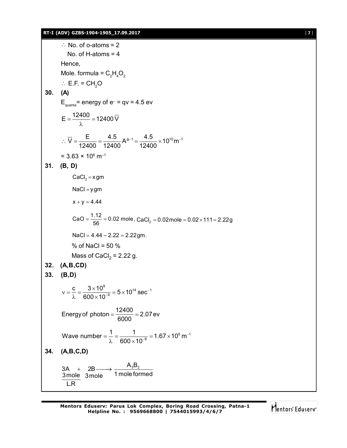#### **RT-I (ADV) GZBS-1904-1905\_17.09.2017** [ **7** ]

 $\therefore$  No. of o-atoms = 2 No. of H-atoms = 4 Hence, Mole. formula =  $C_2H_4O_2$  $\therefore$  E.F. = CH<sub>2</sub>O **30. (A)**  $E_{\text{quanta}}$ = energy of e<sup>-</sup> = qv = 4.5 ev  $E = \frac{12400}{s} = 12400 \,\overline{V}$ λ  $\overline{V} = \frac{\overline{E}}{10,100} = \frac{4.5}{10,100} A^{\circ-1} = \frac{4.5}{10,100} \times 10^{10} m^{-1}$ 12400 12400 12400  $\therefore$  V =  $\frac{L}{10.100}$  =  $\frac{4.9}{10.100}$  A<sup>o-1</sup> =  $\frac{4.9}{10.100}$  × 10<sup>10</sup> m<sup>-1</sup>  $= 3.63 \times 10^6 \text{ m}^{-1}$ **31. (B, D)**  $CaCl<sub>2</sub> = x gm$  $NaCl = y$  gm  $x + y = 4.44$ CaO =  $\frac{1.12}{56}$  = 0.02 mole, CaCl<sub>2</sub> = 0.02mole = 0.02 × 111 = 2.22g  $NaCl = 4.44 - 2.22 = 2.22$ gm. % of NaCl =  $50\%$ Mass of CaCl $_2$  = 2.22 g. **32. (A,B,CD) 33. (B,D)**  $8 = 5 \times 10^{14}$  coc<sup>-1</sup>  $\frac{c}{\gamma} = \frac{3 \times 10^8}{600 \times 10^{-9}} = 5 \times 10^{14} \text{ sec}$ 600 $\times$ 10 -÷  $v = \frac{c}{s} = \frac{3 \times 10^8}{222 \times 10^{-9}} = 5 \times 1$  $\lambda$  600 $\times$ 1 Energy of photon =  $\frac{12400}{0000}$  = 2.07 ev 6000  $=\frac{12100}{0000}$  = 2  $^6$  m<sup>-1</sup> Wave number =  $\frac{1}{2}$  =  $\frac{1}{600 \times 10^{-9}}$  = 1.67 × 10<sup>6</sup> m 600 $\times$ 10 ÷  $=\frac{1}{2}=\frac{1}{600\times10^{-9}}=1.67\times1$  $\lambda$  600 $\times$ **34. (A,B,C,D)**  $3A + 2B \longrightarrow \frac{A_3B_2}{1 + 2B_3}$ 3mole 3mole 1 mole formed L.R  $+ 2B \longrightarrow$ 

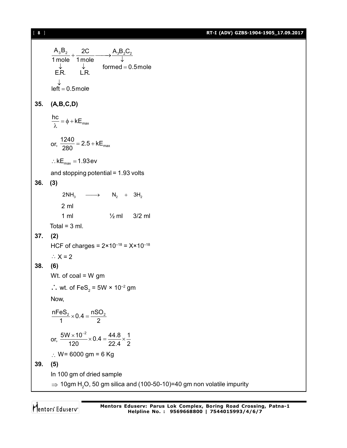[ **8** ] **RT-I (ADV) GZBS-1904-1905\_17.09.2017**

 $A_3 B_2 + 2C$   $A_3 B_2 C_2$  $\frac{1.322}{1 \text{ mole}} + \frac{20}{1 \text{ mole}} \longrightarrow \frac{1.322}{1}$  $\downarrow$   $\downarrow$  formed = 0.5mole  $\downarrow$   $\downarrow$ <br>E.R. L.R.  $left = 0.5$ mole ↓  $=$ **35. (A,B,C,D)**  $\frac{hc}{\gamma} = \phi + kE_{max}$ λ or,  $\frac{1240}{280}$  = 2.5 + kE<sub>max</sub> 280  $= 2.5 + k$  $\therefore$  kE<sub>max</sub> = 1.93ev and stopping potential = 1.93 volts **36. (3)**  $2NH_3 \longrightarrow N_2 + 3H_2$ 2 ml 1 ml ½ ml 3/2 ml Total =  $3$  ml. **37. (2)** HCF of charges =  $2 \times 10^{-18} = X \times 10^{-18}$  $\therefore$  X = 2 **38. (6)** Wt. of coal = W gm  $\therefore$  wt. of FeS<sub>2</sub> = 5W × 10<sup>-2</sup> gm Now,  $\frac{nFeS_2}{1} \times 0.4 = \frac{nSO_2}{2}$ 1 2  $\times$  0.4 =  $\frac{1}{2}$ or,  $\frac{5W \times 10^{-2}}{100 \times 10^{4}} \times 0.4 = \frac{44.8}{200 \times 10^{4}} \times \frac{1}{200}$ 120 22.4 2  $\frac{\times 10^{-2}}{20}$  × 0.4 =  $\frac{44.8}{20}$  ×  $\frac{4}{4}$ ∴ W= 6000 gm = 6 Kg **39. (5)** In 100 gm of dried sample  $\Rightarrow$  10gm H<sub>2</sub>O, 50 gm silica and (100-50-10)=40 gm non volatile impurity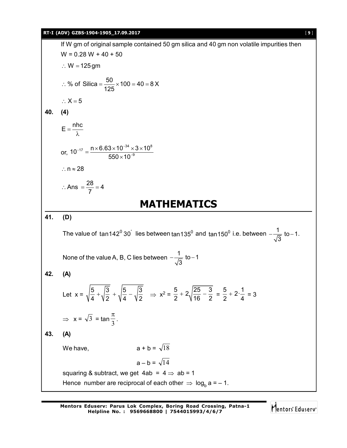#### **RT-I (ADV) GZBS-1904-1905\_17.09.2017** [ **9** ]

If W gm of original sample contained 50 gm silica and 40 gm non volatile impurities then  $W = 0.28 W + 40 + 50$  $\therefore$  W = 125 gm % of Silica =  $\frac{50}{105} \times 100 = 40 = 8 \text{ X}$ 125 ∴ % of Silica =  $\frac{90}{105}$  × 100 = 40 = 8  $\therefore$  X = 5 **40. (4)**  $E = \frac{nhc}{l}$ λ or,  $_{17}$   $\_$  n  $\times$  6.63  $\times$  10  $^{-34}$   $\times$  3  $\times$  10  $^{8}$  $10^{-17} = \frac{n \times 6.63 \times 10^{-34} \times 3 \times 10}{550 \times 10^{-9}}$  $550\times 10$  $_{-17}$   $\_$  n  $\times$  6.63  $\times$  10<sup>-</sup> ÷  $=\frac{n\times 6.63\times 10^{-34}\times 3\times 1}{550\cdot 10^{-9}}$  $\times$  $\therefore$  n  $\approx$  28 Ans  $=\frac{28}{7} = 4$ 7  $\therefore$  Ans  $=\frac{28}{7}=4$ **MATHEMATICS 41. (D)** The value of tan142<sup>0</sup> 30 lies between tan135<sup>0</sup> and tan150<sup>0</sup> i.e. between  $-\frac{1}{\sqrt{2}}$  to – 1. 3  $-\frac{1}{\sqrt{2}}$  to -1. None of the value A, B, C lies between  $-\frac{1}{\sqrt{2}}$  to - 1 3  $-\frac{1}{\sqrt{2}}$  to  $-1$ **42. (A)** Let  $x = \sqrt{\frac{5}{4} + \sqrt{\frac{3}{5} + \sqrt{\frac{5}{4} - \sqrt{\frac{3}{5}}}}}}$  $\frac{5}{4} + \sqrt{\frac{3}{2}} + \sqrt{\frac{5}{4}} - \sqrt{\frac{3}{2}} \Rightarrow x^2 = \frac{5}{2} + 2\sqrt{\frac{25}{16} - \frac{3}{2}}$  $rac{5}{2} + 2\sqrt{\frac{25}{16} - \frac{3}{2}} = \frac{5}{2} + 2\cdot\frac{1}{4}$  $\frac{6}{2} + 2 \cdot \frac{1}{4} = 3$  $\Rightarrow$  x =  $\sqrt{3}$  = tan  $\frac{\pi}{3}$ . **43. (A)** We have,  $a + b = \sqrt{18}$  $a - b = \sqrt{14}$ squaring & subtract, we get  $4ab = 4 \Rightarrow ab = 1$ Hence number are reciprocal of each other  $\Rightarrow$  log<sub>b</sub> a = – 1.

Mentors<sup>®</sup> Eduserv<sup>®</sup>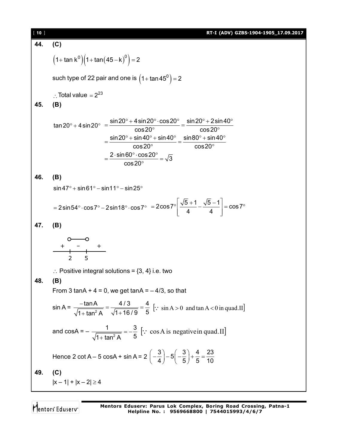[ **10** ] **RT-I (ADV) GZBS-1904-1905\_17.09.2017 44. (C)**  $(1 + \tan k^0)(1 + \tan(45 - k)^0) = 2$ such type of 22 pair and one is  $\left(1 + \tan 45^\mathrm{0}\right)$  = 2  $\therefore$  Total value =  $2^{23}$ **45. (B)** tan 20° + 4 sin 20°  $\sin 20^{\circ}$  + 4 sin 20 $^{\circ}$   $\cdot$  cos 20 $^{\circ}$   $\,$  sin 20 $^{\circ}$  + 2 sin 40  $\,$  $\cos 20^{\circ}$  cos20  $\sin 20^{\circ}$  +  $\sin 40^{\circ}$  +  $\sin 40^{\circ}$  sin $80^{\circ}$  +  $\sin 40$  $\cos 20^{\circ}$  cos20  $\frac{2 \cdot \sin 60^\circ \cdot \cos 20^\circ}{200} = \sqrt{3}$ cos20  $=\frac{\sin 20^{\circ}+4 \sin 20^{\circ} \cdot \cos 20^{\circ}}{2000}=\frac{\sin 20^{\circ}+2 \sin 40^{\circ}}{2000}$  $\circ$  cos20 $^{\circ}$  $=\frac{\sin 20^{\circ} + \sin 40^{\circ} + \sin 40^{\circ}}{20^{\circ}} = \frac{\sin 80^{\circ} + \sin 40^{\circ}}{20^{\circ}}$  $\degree$  cos20 $\degree$  $=\frac{2\cdot\sin 60^{\circ}\cdot\cos 20^{\circ}}{20^{\circ}}=$  $\circ$ **46. (B)**  $\sin 47^\circ + \sin 61^\circ - \sin 11^\circ - \sin 25^\circ$  $= 2\sin 54^{\circ}\cdot \cos 7^{\circ} - 2\sin 18^{\circ}\cdot \cos 7^{\circ} = 2\cos 7^{\circ}\left| \frac{\sqrt{5}+1}{4} - \frac{\sqrt{5}-1}{4} \right| = \cos 7^{\circ}$  $=2\cos 7^\circ \left| \frac{\sqrt{5}+1}{4} - \frac{\sqrt{5}-1}{4} \right| = \cos 7^\circ$  $\begin{bmatrix} 4 & 4 \end{bmatrix}$ **47. (B)** 2 5 + – +  $\therefore$  Positive integral solutions = {3, 4} i.e. two **48. (B)** From 3 tanA +  $4 = 0$ , we get tanA =  $-4/3$ , so that  $sin A = \frac{tan B}{\sqrt{1 + tan^2}}$ tanA 4/3 4  $1 + \tan^2 A$   $\sqrt{1 + 16/9}$  5  $\frac{-\tan A}{\tan A} = \frac{4/3}{\sqrt{1-2.5}} =$  $+$  tan<sup>2</sup> A  $\sqrt{1}$  +  $\left[\because \sin A > 0 \text{ and } \tan A < 0 \text{ in } \text{quad.II}\right]$ and cosA =  $-\frac{1}{\sqrt{1+\tan^2{\theta}}}$ 1 3  $1 + \tan^2 A$  5  $=-\frac{6}{5}$  $^{+}$  $\left| \because \cos A \text{ is negative in quad.} \right|$ Hence 2 cot A – 5 cosA + sin A =  $2\left(-\frac{3}{4}\right)$  –  $5\left(-\frac{3}{5}\right)$  +  $\frac{4}{5}$  =  $\frac{23}{10}$  $\left(-\frac{3}{4}\right)-5\left(-\frac{3}{5}\right)+\frac{4}{5}=\frac{3}{4}$ **49. (C)**  $|x-1| + |x-2| \ge 4$ 

Mentors Eduserv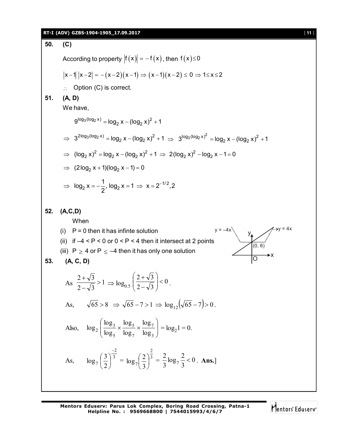#### **RT-I (ADV) GZBS-1904-1905\_17.09.2017** [ **11** ]

50. (C)  
\nAccording to property 
$$
|f(x)| = -f(x)
$$
, then  $f(x) \le 0$   
\n $|x-1| |x-2| = -(x-2)(x-1) \Rightarrow (x-1)(x-2) \le 0 \Rightarrow 1 \le x \le 2$   
\n∴ Option (C) is correct.  
\n51. (A, D)  
\nWe have,  
\n $9^{\log_3(1052x)} = \log_2 x - (\log_2 x)^2 + 1$   
\n $\Rightarrow 3^{2\log_3(\log_2 x)} = \log_2 x - (\log_2 x)^2 + 1 \Rightarrow 3^{\log_3(\log_2 x)^2} = \log_2 x - (\log_2 x)^2 + 1$   
\n $\Rightarrow (\log_2 x)^2 = \log_2 x - (\log_2 x)^2 + 1 \Rightarrow 2(\log_2 x)^2 - \log_2 x - 1 = 0$   
\n $\Rightarrow (2\log_2 x + 1)(\log_2 x - 1) = 0$   
\n $\Rightarrow \log_2 x = -\frac{1}{2}$ ,  $\log_2 x = 1 \Rightarrow x = 2^{-1/2}, 2$   
\n52. (A,C,D)  
\nWhen  
\n(i) P = 0 then it has infinite solution  
\n(ii)  $f = 4 < P < 0$  or  $0 < P < 4$  then it intersect at 2 points  
\n(iii) P  $\ge 4$  or P  $\le -4$  then it has only one solution  
\n53. (A, C, D)  
\nAs  $\frac{2+\sqrt{3}}{2-\sqrt{3}} > 1 \Rightarrow \log_{0.5} \left(\frac{2+\sqrt{3}}{2-\sqrt{3}}\right) < 0$ .  
\nAs,  $\sqrt{65} > 8 \Rightarrow \sqrt{65} - 7 > 1 \Rightarrow \log_{12}(\sqrt{65} - 7) > 0$ .  
\nAlso,  $\log_2 \left(\frac{\log_3 x}{\log_5} \times \frac{\log_5 x}{\log_7} \times \frac{\log_7 x}{\log_3}\right) = \log_2 1 = 0$ .  
\nAs,  $\log_7 \left(\frac{3}{2}\right)^{\frac{-2}{3}} = \log_7 \left(\frac{2}{3}\right)^{\frac{2}{3}} = \frac{2}{3} \log_7 \frac{2}{3} < 0$ 

Mentors<sup>e</sup> Eduserv<sup>-</sup>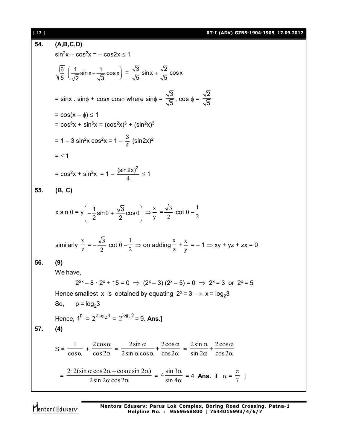| [12] | RT-I (ADV) GZBS-1904-1905_17.09.2017                                                                                                                                                                                              |
|------|-----------------------------------------------------------------------------------------------------------------------------------------------------------------------------------------------------------------------------------|
| 54.  | (A,B,C,D)                                                                                                                                                                                                                         |
|      | $sin^2x - cos^2x = -cos2x \le 1$                                                                                                                                                                                                  |
|      | $\sqrt{\frac{6}{5}}\left(\frac{1}{\sqrt{2}}\sin x+\frac{1}{\sqrt{2}}\cos x\right)=\frac{\sqrt{3}}{\sqrt{5}}\sin x+\frac{\sqrt{2}}{\sqrt{5}}\cos x$                                                                                |
|      | = sinx . sin $\phi$ + cosx cos $\phi$ where sin $\phi = \frac{\sqrt{3}}{\sqrt{5}}$ , cos $\phi = \frac{\sqrt{2}}{\sqrt{5}}$                                                                                                       |
|      | $= cos(x - \phi) \leq 1$<br>= $\cos^6 x + \sin^6 x = (\cos^2 x)^3 + (\sin^2 x)^3$                                                                                                                                                 |
|      | = 1 – 3 sin <sup>2</sup> x cos <sup>2</sup> x = 1 – $\frac{3}{4}$ (sin2x) <sup>2</sup>                                                                                                                                            |
|      | $=$ $\leq$ 1                                                                                                                                                                                                                      |
|      | = $\cos^2 x + \sin^2 x = 1 - \frac{(\sin 2x)^2}{4} \le 1$                                                                                                                                                                         |
| 55.  | (B, C)                                                                                                                                                                                                                            |
|      | x sin $\theta = y \left( -\frac{1}{2} \sin \theta + \frac{\sqrt{3}}{2} \cos \theta \right) \Rightarrow \frac{x}{y} = \frac{\sqrt{3}}{2} \cot \theta - \frac{1}{2}$                                                                |
|      | similarly $\frac{x}{z} = -\frac{\sqrt{3}}{2}$ cot $\theta - \frac{1}{2} \Rightarrow$ on adding $\frac{x}{z} + \frac{x}{y} = -1 \Rightarrow xy + yz + zx = 0$                                                                      |
| 56.  | (9)                                                                                                                                                                                                                               |
|      | We have,                                                                                                                                                                                                                          |
|      | $2^{2x} - 8 \cdot 2^{x} + 15 = 0 \Rightarrow (2^{x} - 3)(2^{x} - 5) = 0 \Rightarrow 2^{x} = 3$ or $2^{x} = 5$                                                                                                                     |
|      | Hence smallest x is obtained by equating $2^x = 3 \implies x = \log_2 3$                                                                                                                                                          |
|      | So, $p = log_2 3$                                                                                                                                                                                                                 |
|      | Hence, $4^p = 2^{2 \log_2 3} = 2^{\log_2 9} = 9$ . Ans.]                                                                                                                                                                          |
| 57.  | (4)                                                                                                                                                                                                                               |
|      | $S = \frac{1}{\cos \alpha} + \frac{2 \cos \alpha}{\cos 2\alpha} = \frac{2 \sin \alpha}{2 \sin \alpha \cos \alpha} + \frac{2 \cos \alpha}{\cos 2\alpha} = \frac{2 \sin \alpha}{\sin 2\alpha} + \frac{2 \cos \alpha}{\cos 2\alpha}$ |
|      | = $\frac{2 \cdot 2(\sin \alpha \cos 2\alpha + \cos \alpha \sin 2\alpha)}{2\sin 2\alpha \cos 2\alpha}$ = $4 \frac{\sin 3\alpha}{\sin 4\alpha}$ = 4 Ans. if $\alpha = \frac{\pi}{7}$ ]                                              |

Mentors<sup>e</sup> Eduserv-